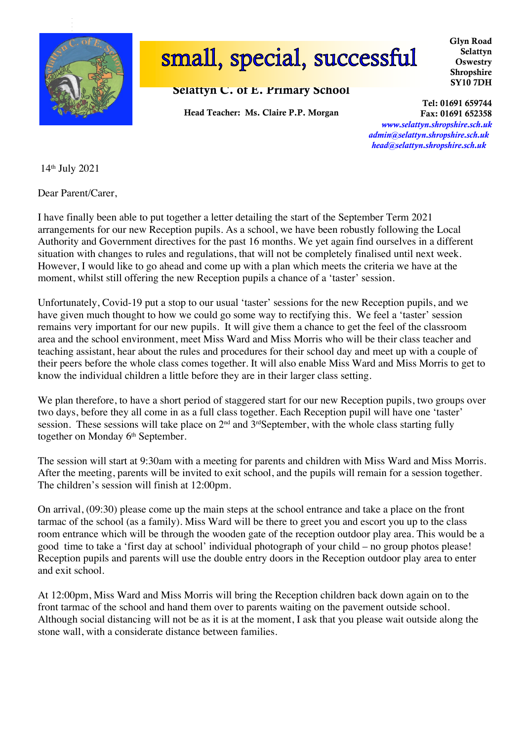

.

# small, special, successful

## Selattyn C. of E. Primary School

Head Teacher: Ms. Claire P.P. Morgan

Glyn Road Selattyn **Oswestry** Shropshire SY10 7DH

Tel: 01691 659744

Fax: 01691 652358 *www.selattyn.shropshire.sch.uk admin@selattyn.shropshire.sch.uk head@selattyn.shropshire.sch.uk*

14th July 2021

Dear Parent/Carer,

I have finally been able to put together a letter detailing the start of the September Term 2021 arrangements for our new Reception pupils. As a school, we have been robustly following the Local Authority and Government directives for the past 16 months. We yet again find ourselves in a different situation with changes to rules and regulations, that will not be completely finalised until next week. However, I would like to go ahead and come up with a plan which meets the criteria we have at the moment, whilst still offering the new Reception pupils a chance of a 'taster' session.

Unfortunately, Covid-19 put a stop to our usual 'taster' sessions for the new Reception pupils, and we have given much thought to how we could go some way to rectifying this. We feel a 'taster' session remains very important for our new pupils. It will give them a chance to get the feel of the classroom area and the school environment, meet Miss Ward and Miss Morris who will be their class teacher and teaching assistant, hear about the rules and procedures for their school day and meet up with a couple of their peers before the whole class comes together. It will also enable Miss Ward and Miss Morris to get to know the individual children a little before they are in their larger class setting.

We plan therefore, to have a short period of staggered start for our new Reception pupils, two groups over two days, before they all come in as a full class together. Each Reception pupil will have one 'taster' session. These sessions will take place on 2<sup>nd</sup> and 3<sup>rd</sup>September, with the whole class starting fully together on Monday 6<sup>th</sup> September.

The session will start at 9:30am with a meeting for parents and children with Miss Ward and Miss Morris. After the meeting, parents will be invited to exit school, and the pupils will remain for a session together. The children's session will finish at 12:00pm.

On arrival, (09:30) please come up the main steps at the school entrance and take a place on the front tarmac of the school (as a family). Miss Ward will be there to greet you and escort you up to the class room entrance which will be through the wooden gate of the reception outdoor play area. This would be a good time to take a 'first day at school' individual photograph of your child – no group photos please! Reception pupils and parents will use the double entry doors in the Reception outdoor play area to enter and exit school.

At 12:00pm, Miss Ward and Miss Morris will bring the Reception children back down again on to the front tarmac of the school and hand them over to parents waiting on the pavement outside school. Although social distancing will not be as it is at the moment, I ask that you please wait outside along the stone wall, with a considerate distance between families.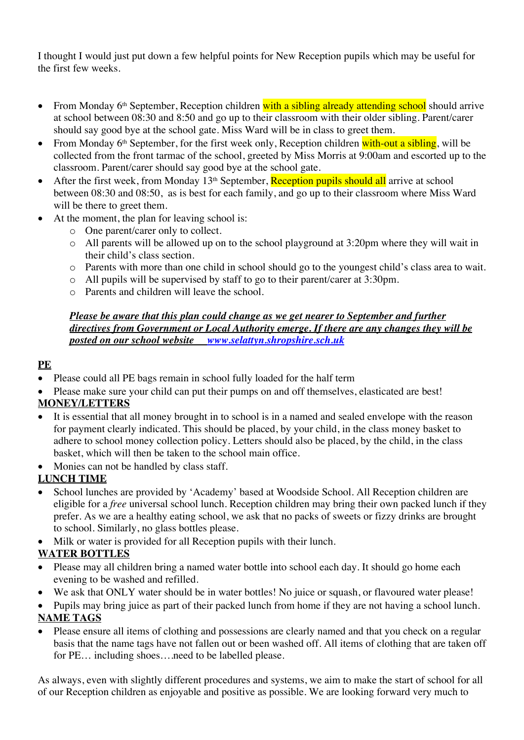I thought I would just put down a few helpful points for New Reception pupils which may be useful for the first few weeks.

- From Monday 6<sup>th</sup> September, Reception children with a sibling already attending school should arrive at school between 08:30 and 8:50 and go up to their classroom with their older sibling. Parent/carer should say good bye at the school gate. Miss Ward will be in class to greet them.
- From Monday  $6<sup>th</sup>$  September, for the first week only, Reception children with-out a sibling, will be collected from the front tarmac of the school, greeted by Miss Morris at 9:00am and escorted up to the classroom. Parent/carer should say good bye at the school gate.
- After the first week, from Monday  $13<sup>th</sup>$  September, Reception pupils should all arrive at school between 08:30 and 08:50, as is best for each family, and go up to their classroom where Miss Ward will be there to greet them.
- At the moment, the plan for leaving school is:
	- o One parent/carer only to collect.
	- o All parents will be allowed up on to the school playground at 3:20pm where they will wait in their child's class section.
	- o Parents with more than one child in school should go to the youngest child's class area to wait.
	- o All pupils will be supervised by staff to go to their parent/carer at 3:30pm.
	- o Parents and children will leave the school.

#### *Please be aware that this plan could change as we get nearer to September and further directives from Government or Local Authority emerge. If there are any changes they will be posted on our school website www.selattyn.shropshire.sch.uk*

# **PE**

- Please could all PE bags remain in school fully loaded for the half term
- Please make sure your child can put their pumps on and off themselves, elasticated are best!

## **MONEY/LETTERS**

- It is essential that all money brought in to school is in a named and sealed envelope with the reason for payment clearly indicated. This should be placed, by your child, in the class money basket to adhere to school money collection policy. Letters should also be placed, by the child, in the class basket, which will then be taken to the school main office.
- Monies can not be handled by class staff.

## **LUNCH TIME**

- School lunches are provided by 'Academy' based at Woodside School. All Reception children are eligible for a *free* universal school lunch. Reception children may bring their own packed lunch if they prefer. As we are a healthy eating school, we ask that no packs of sweets or fizzy drinks are brought to school. Similarly, no glass bottles please.
- Milk or water is provided for all Reception pupils with their lunch.

# **WATER BOTTLES**

- Please may all children bring a named water bottle into school each day. It should go home each evening to be washed and refilled.
- We ask that ONLY water should be in water bottles! No juice or squash, or flavoured water please!
- Pupils may bring juice as part of their packed lunch from home if they are not having a school lunch. **NAME TAGS**
- Please ensure all items of clothing and possessions are clearly named and that you check on a regular basis that the name tags have not fallen out or been washed off. All items of clothing that are taken off for PE… including shoes….need to be labelled please.

As always, even with slightly different procedures and systems, we aim to make the start of school for all of our Reception children as enjoyable and positive as possible. We are looking forward very much to